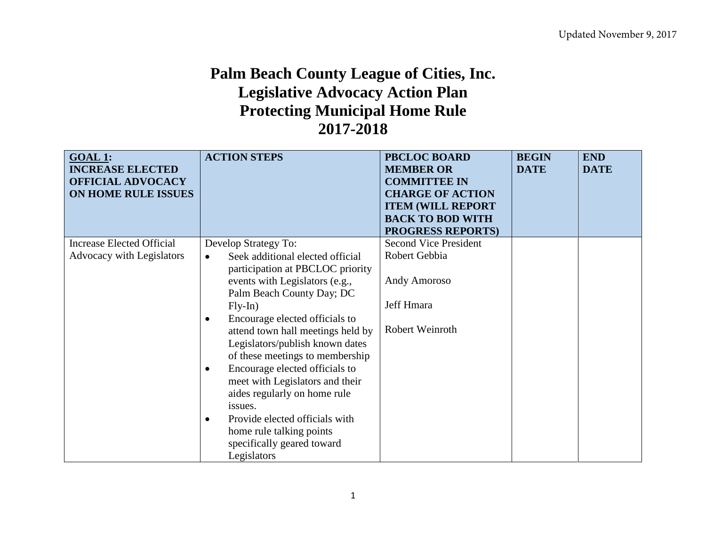## **Palm Beach County League of Cities, Inc. Legislative Advocacy Action Plan Protecting Municipal Home Rule 2017-2018**

| <b>GOAL 1:</b><br><b>INCREASE ELECTED</b><br><b>OFFICIAL ADVOCACY</b><br>ON HOME RULE ISSUES | <b>ACTION STEPS</b>                                                                                                                                                                                                                                                                                                                                            | <b>PBCLOC BOARD</b><br><b>MEMBER OR</b><br><b>COMMITTEE IN</b><br><b>CHARGE OF ACTION</b><br><b>ITEM (WILL REPORT)</b><br><b>BACK TO BOD WITH</b><br><b>PROGRESS REPORTS)</b> | <b>BEGIN</b><br><b>DATE</b> | <b>END</b><br><b>DATE</b> |
|----------------------------------------------------------------------------------------------|----------------------------------------------------------------------------------------------------------------------------------------------------------------------------------------------------------------------------------------------------------------------------------------------------------------------------------------------------------------|-------------------------------------------------------------------------------------------------------------------------------------------------------------------------------|-----------------------------|---------------------------|
| <b>Increase Elected Official</b>                                                             | Develop Strategy To:                                                                                                                                                                                                                                                                                                                                           | <b>Second Vice President</b>                                                                                                                                                  |                             |                           |
| Advocacy with Legislators                                                                    | Seek additional elected official<br>$\bullet$<br>participation at PBCLOC priority                                                                                                                                                                                                                                                                              | Robert Gebbia                                                                                                                                                                 |                             |                           |
|                                                                                              | events with Legislators (e.g.,<br>Palm Beach County Day; DC                                                                                                                                                                                                                                                                                                    | Andy Amoroso                                                                                                                                                                  |                             |                           |
|                                                                                              | $Fly-In)$                                                                                                                                                                                                                                                                                                                                                      | Jeff Hmara                                                                                                                                                                    |                             |                           |
|                                                                                              | Encourage elected officials to<br>$\bullet$<br>attend town hall meetings held by<br>Legislators/publish known dates<br>of these meetings to membership<br>Encourage elected officials to<br>$\bullet$<br>meet with Legislators and their<br>aides regularly on home rule<br>issues.<br>Provide elected officials with<br>$\bullet$<br>home rule talking points | Robert Weinroth                                                                                                                                                               |                             |                           |
|                                                                                              | specifically geared toward<br>Legislators                                                                                                                                                                                                                                                                                                                      |                                                                                                                                                                               |                             |                           |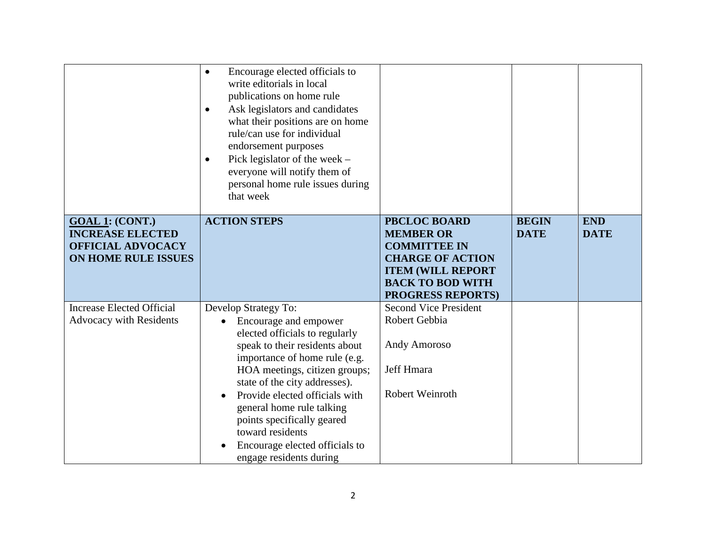|                                                                        | Encourage elected officials to<br>$\bullet$<br>write editorials in local<br>publications on home rule<br>Ask legislators and candidates<br>$\bullet$<br>what their positions are on home<br>rule/can use for individual<br>endorsement purposes<br>Pick legislator of the week $-$<br>$\bullet$<br>everyone will notify them of<br>personal home rule issues during<br>that week |                                                                |                             |                           |
|------------------------------------------------------------------------|----------------------------------------------------------------------------------------------------------------------------------------------------------------------------------------------------------------------------------------------------------------------------------------------------------------------------------------------------------------------------------|----------------------------------------------------------------|-----------------------------|---------------------------|
| GOAL 1: (CONT.)<br><b>INCREASE ELECTED</b><br><b>OFFICIAL ADVOCACY</b> | <b>ACTION STEPS</b>                                                                                                                                                                                                                                                                                                                                                              | <b>PBCLOC BOARD</b><br><b>MEMBER OR</b><br><b>COMMITTEE IN</b> | <b>BEGIN</b><br><b>DATE</b> | <b>END</b><br><b>DATE</b> |
| <b>ON HOME RULE ISSUES</b>                                             |                                                                                                                                                                                                                                                                                                                                                                                  | <b>CHARGE OF ACTION</b>                                        |                             |                           |
|                                                                        |                                                                                                                                                                                                                                                                                                                                                                                  | <b>ITEM (WILL REPORT</b>                                       |                             |                           |
|                                                                        |                                                                                                                                                                                                                                                                                                                                                                                  | <b>BACK TO BOD WITH</b>                                        |                             |                           |
|                                                                        |                                                                                                                                                                                                                                                                                                                                                                                  | <b>PROGRESS REPORTS)</b>                                       |                             |                           |
| <b>Increase Elected Official</b>                                       | Develop Strategy To:                                                                                                                                                                                                                                                                                                                                                             | <b>Second Vice President</b>                                   |                             |                           |
| <b>Advocacy with Residents</b>                                         | Encourage and empower                                                                                                                                                                                                                                                                                                                                                            | Robert Gebbia                                                  |                             |                           |
|                                                                        | elected officials to regularly                                                                                                                                                                                                                                                                                                                                                   | <b>Andy Amoroso</b>                                            |                             |                           |
|                                                                        | speak to their residents about<br>importance of home rule (e.g.                                                                                                                                                                                                                                                                                                                  |                                                                |                             |                           |
|                                                                        | HOA meetings, citizen groups;                                                                                                                                                                                                                                                                                                                                                    | Jeff Hmara                                                     |                             |                           |
|                                                                        | state of the city addresses).                                                                                                                                                                                                                                                                                                                                                    |                                                                |                             |                           |
|                                                                        | Provide elected officials with                                                                                                                                                                                                                                                                                                                                                   | Robert Weinroth                                                |                             |                           |
|                                                                        | general home rule talking                                                                                                                                                                                                                                                                                                                                                        |                                                                |                             |                           |
|                                                                        | points specifically geared                                                                                                                                                                                                                                                                                                                                                       |                                                                |                             |                           |
|                                                                        | toward residents                                                                                                                                                                                                                                                                                                                                                                 |                                                                |                             |                           |
|                                                                        | Encourage elected officials to                                                                                                                                                                                                                                                                                                                                                   |                                                                |                             |                           |
|                                                                        | engage residents during                                                                                                                                                                                                                                                                                                                                                          |                                                                |                             |                           |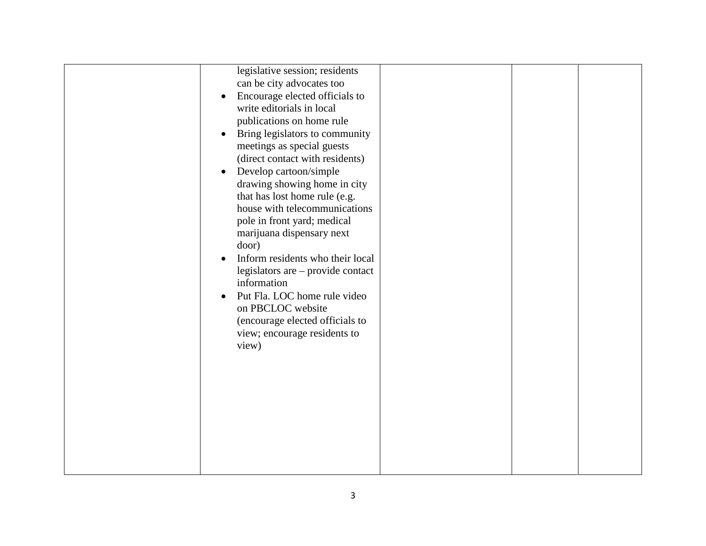| legislative session; residents                |  |  |
|-----------------------------------------------|--|--|
| can be city advocates too                     |  |  |
| Encourage elected officials to<br>$\bullet$   |  |  |
| write editorials in local                     |  |  |
| publications on home rule                     |  |  |
| Bring legislators to community<br>$\bullet$   |  |  |
| meetings as special guests                    |  |  |
| (direct contact with residents)               |  |  |
| Develop cartoon/simple<br>$\bullet$           |  |  |
| drawing showing home in city                  |  |  |
| that has lost home rule (e.g.                 |  |  |
| house with telecommunications                 |  |  |
| pole in front yard; medical                   |  |  |
| marijuana dispensary next                     |  |  |
| door)                                         |  |  |
| Inform residents who their local<br>$\bullet$ |  |  |
| legislators are – provide contact             |  |  |
| information                                   |  |  |
| Put Fla. LOC home rule video<br>$\bullet$     |  |  |
| on PBCLOC website                             |  |  |
| (encourage elected officials to               |  |  |
| view; encourage residents to                  |  |  |
| view)                                         |  |  |
|                                               |  |  |
|                                               |  |  |
|                                               |  |  |
|                                               |  |  |
|                                               |  |  |
|                                               |  |  |
|                                               |  |  |
|                                               |  |  |
|                                               |  |  |
|                                               |  |  |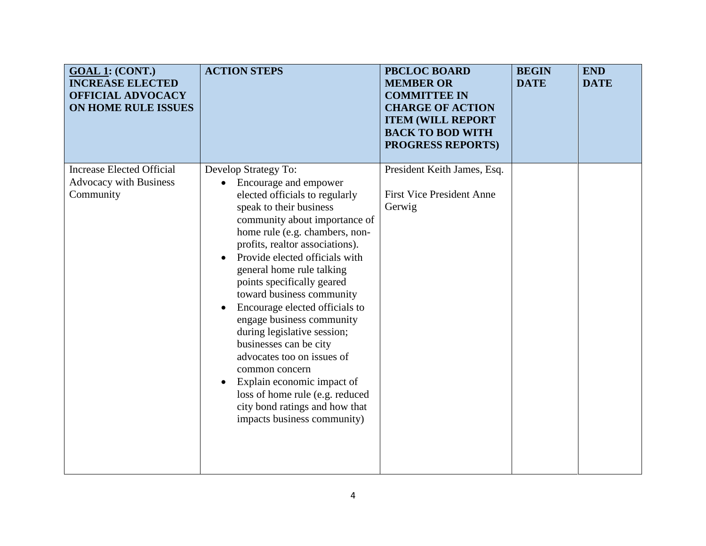| <b>GOAL 1: (CONT.)</b><br><b>INCREASE ELECTED</b><br><b>OFFICIAL ADVOCACY</b><br>ON HOME RULE ISSUES | <b>ACTION STEPS</b>                                                                                                                                                                                                                                                                                                                                                                                                                                                                                                                                                                                                                                                                         | <b>PBCLOC BOARD</b><br><b>MEMBER OR</b><br><b>COMMITTEE IN</b><br><b>CHARGE OF ACTION</b><br><b>ITEM (WILL REPORT</b><br><b>BACK TO BOD WITH</b><br><b>PROGRESS REPORTS)</b> | <b>BEGIN</b><br><b>DATE</b> | <b>END</b><br><b>DATE</b> |
|------------------------------------------------------------------------------------------------------|---------------------------------------------------------------------------------------------------------------------------------------------------------------------------------------------------------------------------------------------------------------------------------------------------------------------------------------------------------------------------------------------------------------------------------------------------------------------------------------------------------------------------------------------------------------------------------------------------------------------------------------------------------------------------------------------|------------------------------------------------------------------------------------------------------------------------------------------------------------------------------|-----------------------------|---------------------------|
| <b>Increase Elected Official</b><br><b>Advocacy with Business</b><br>Community                       | Develop Strategy To:<br>Encourage and empower<br>$\bullet$<br>elected officials to regularly<br>speak to their business<br>community about importance of<br>home rule (e.g. chambers, non-<br>profits, realtor associations).<br>Provide elected officials with<br>$\bullet$<br>general home rule talking<br>points specifically geared<br>toward business community<br>Encourage elected officials to<br>$\bullet$<br>engage business community<br>during legislative session;<br>businesses can be city<br>advocates too on issues of<br>common concern<br>Explain economic impact of<br>loss of home rule (e.g. reduced<br>city bond ratings and how that<br>impacts business community) | President Keith James, Esq.<br><b>First Vice President Anne</b><br>Gerwig                                                                                                    |                             |                           |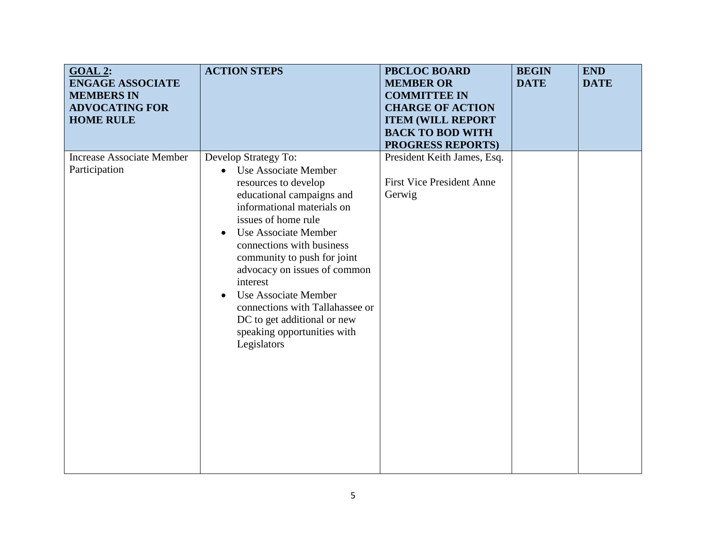| <b>GOAL 2:</b><br><b>ENGAGE ASSOCIATE</b><br><b>MEMBERS IN</b><br><b>ADVOCATING FOR</b><br><b>HOME RULE</b> | <b>ACTION STEPS</b>                                                                                                                                                                                                                                                                                                                                                                                                                                                   | <b>PBCLOC BOARD</b><br><b>MEMBER OR</b><br><b>COMMITTEE IN</b><br><b>CHARGE OF ACTION</b><br><b>ITEM (WILL REPORT</b><br><b>BACK TO BOD WITH</b><br><b>PROGRESS REPORTS)</b> | <b>BEGIN</b><br><b>DATE</b> | <b>END</b><br><b>DATE</b> |
|-------------------------------------------------------------------------------------------------------------|-----------------------------------------------------------------------------------------------------------------------------------------------------------------------------------------------------------------------------------------------------------------------------------------------------------------------------------------------------------------------------------------------------------------------------------------------------------------------|------------------------------------------------------------------------------------------------------------------------------------------------------------------------------|-----------------------------|---------------------------|
| <b>Increase Associate Member</b><br>Participation                                                           | Develop Strategy To:<br>Use Associate Member<br>$\bullet$<br>resources to develop<br>educational campaigns and<br>informational materials on<br>issues of home rule<br>Use Associate Member<br>$\bullet$<br>connections with business<br>community to push for joint<br>advocacy on issues of common<br>interest<br>Use Associate Member<br>$\bullet$<br>connections with Tallahassee or<br>DC to get additional or new<br>speaking opportunities with<br>Legislators | President Keith James, Esq.<br><b>First Vice President Anne</b><br>Gerwig                                                                                                    |                             |                           |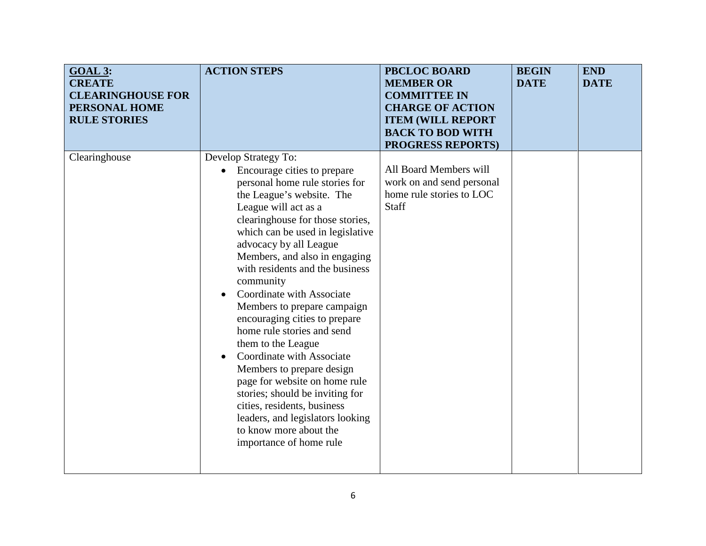| <b>GOAL 3:</b><br><b>CREATE</b><br><b>CLEARINGHOUSE FOR</b><br>PERSONAL HOME<br><b>RULE STORIES</b> | <b>ACTION STEPS</b>                                                                                                                                                                                                                                                                                                                                                                                                                                                                                                                                                                                                                                                                                                                                            | <b>PBCLOC BOARD</b><br><b>MEMBER OR</b><br><b>COMMITTEE IN</b><br><b>CHARGE OF ACTION</b><br><b>ITEM (WILL REPORT</b><br><b>BACK TO BOD WITH</b><br><b>PROGRESS REPORTS)</b> | <b>BEGIN</b><br><b>DATE</b> | <b>END</b><br><b>DATE</b> |
|-----------------------------------------------------------------------------------------------------|----------------------------------------------------------------------------------------------------------------------------------------------------------------------------------------------------------------------------------------------------------------------------------------------------------------------------------------------------------------------------------------------------------------------------------------------------------------------------------------------------------------------------------------------------------------------------------------------------------------------------------------------------------------------------------------------------------------------------------------------------------------|------------------------------------------------------------------------------------------------------------------------------------------------------------------------------|-----------------------------|---------------------------|
| Clearinghouse                                                                                       | Develop Strategy To:<br>Encourage cities to prepare<br>$\bullet$<br>personal home rule stories for<br>the League's website. The<br>League will act as a<br>clearinghouse for those stories,<br>which can be used in legislative<br>advocacy by all League<br>Members, and also in engaging<br>with residents and the business<br>community<br>Coordinate with Associate<br>Members to prepare campaign<br>encouraging cities to prepare<br>home rule stories and send<br>them to the League<br>Coordinate with Associate<br>$\bullet$<br>Members to prepare design<br>page for website on home rule<br>stories; should be inviting for<br>cities, residents, business<br>leaders, and legislators looking<br>to know more about the<br>importance of home rule | All Board Members will<br>work on and send personal<br>home rule stories to LOC<br>Staff                                                                                     |                             |                           |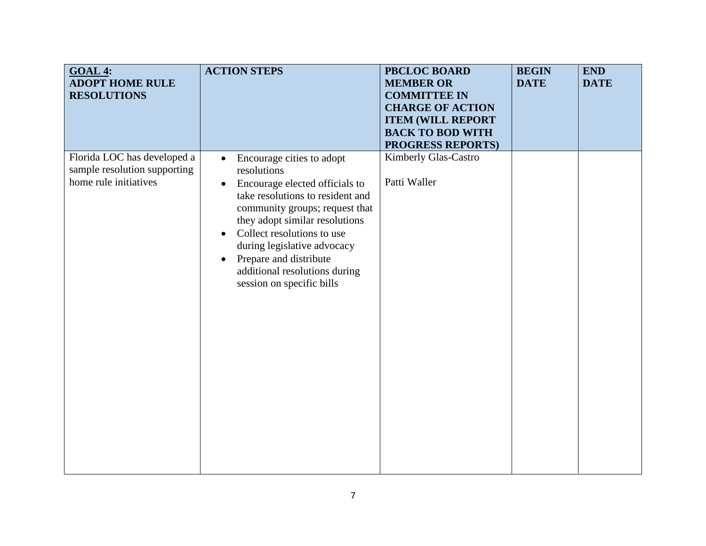| <b>GOAL 4:</b><br><b>ADOPT HOME RULE</b><br><b>RESOLUTIONS</b>                       | <b>ACTION STEPS</b>                                                                                                                                                                                                                                                                                                                                                                         | <b>PBCLOC BOARD</b><br><b>MEMBER OR</b><br><b>COMMITTEE IN</b><br><b>CHARGE OF ACTION</b><br><b>ITEM (WILL REPORT</b><br><b>BACK TO BOD WITH</b><br><b>PROGRESS REPORTS)</b> | <b>BEGIN</b><br><b>DATE</b> | <b>END</b><br><b>DATE</b> |
|--------------------------------------------------------------------------------------|---------------------------------------------------------------------------------------------------------------------------------------------------------------------------------------------------------------------------------------------------------------------------------------------------------------------------------------------------------------------------------------------|------------------------------------------------------------------------------------------------------------------------------------------------------------------------------|-----------------------------|---------------------------|
| Florida LOC has developed a<br>sample resolution supporting<br>home rule initiatives | Encourage cities to adopt<br>$\bullet$<br>resolutions<br>Encourage elected officials to<br>$\bullet$<br>take resolutions to resident and<br>community groups; request that<br>they adopt similar resolutions<br>Collect resolutions to use<br>$\bullet$<br>during legislative advocacy<br>Prepare and distribute<br>$\bullet$<br>additional resolutions during<br>session on specific bills | Kimberly Glas-Castro<br>Patti Waller                                                                                                                                         |                             |                           |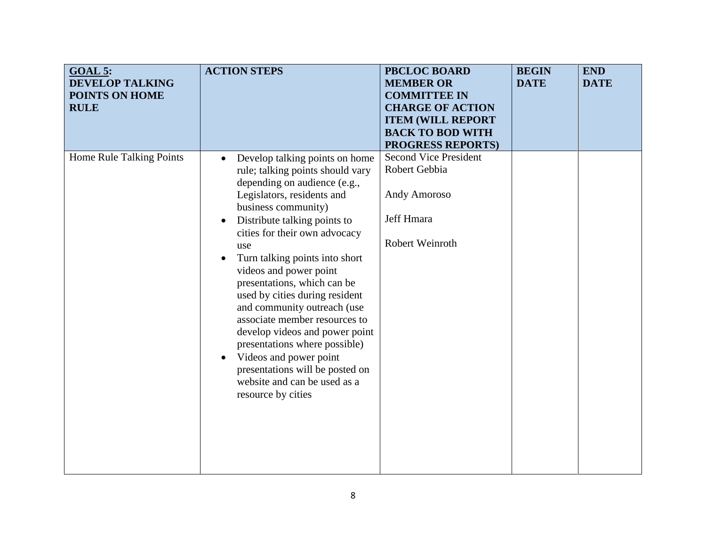| GOAL 5:<br><b>DEVELOP TALKING</b><br>POINTS ON HOME<br><b>RULE</b> | <b>ACTION STEPS</b>                                                                                                                                                                                                                                                                                                                                                                                                                                                                                                                                                                                                                                                    | <b>PBCLOC BOARD</b><br><b>MEMBER OR</b><br><b>COMMITTEE IN</b><br><b>CHARGE OF ACTION</b><br><b>ITEM (WILL REPORT</b><br><b>BACK TO BOD WITH</b><br><b>PROGRESS REPORTS)</b> | <b>BEGIN</b><br><b>DATE</b> | <b>END</b><br><b>DATE</b> |
|--------------------------------------------------------------------|------------------------------------------------------------------------------------------------------------------------------------------------------------------------------------------------------------------------------------------------------------------------------------------------------------------------------------------------------------------------------------------------------------------------------------------------------------------------------------------------------------------------------------------------------------------------------------------------------------------------------------------------------------------------|------------------------------------------------------------------------------------------------------------------------------------------------------------------------------|-----------------------------|---------------------------|
| Home Rule Talking Points                                           | Develop talking points on home<br>$\bullet$<br>rule; talking points should vary<br>depending on audience (e.g.,<br>Legislators, residents and<br>business community)<br>Distribute talking points to<br>$\bullet$<br>cities for their own advocacy<br>use<br>Turn talking points into short<br>$\bullet$<br>videos and power point<br>presentations, which can be<br>used by cities during resident<br>and community outreach (use<br>associate member resources to<br>develop videos and power point<br>presentations where possible)<br>Videos and power point<br>$\bullet$<br>presentations will be posted on<br>website and can be used as a<br>resource by cities | <b>Second Vice President</b><br>Robert Gebbia<br><b>Andy Amoroso</b><br>Jeff Hmara<br>Robert Weinroth                                                                        |                             |                           |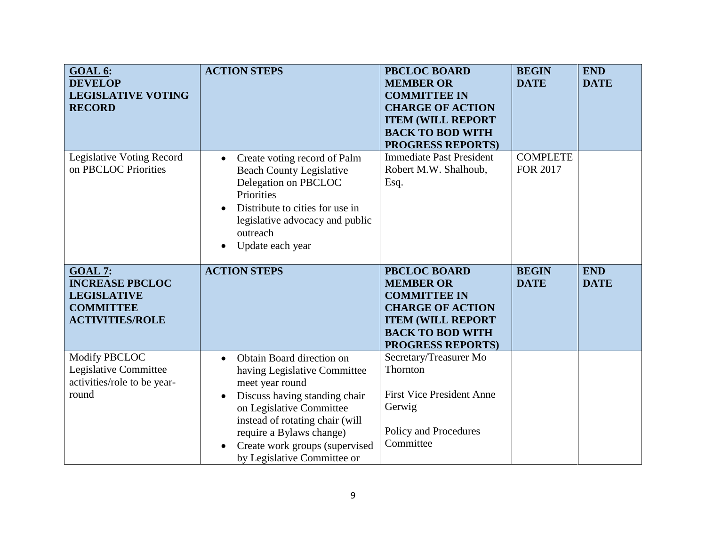| GOAL 6:<br><b>DEVELOP</b><br><b>LEGISLATIVE VOTING</b><br><b>RECORD</b>                                            | <b>ACTION STEPS</b>                                                                                                                                                                                                      | <b>PBCLOC BOARD</b><br><b>MEMBER OR</b><br><b>COMMITTEE IN</b><br><b>CHARGE OF ACTION</b><br><b>ITEM (WILL REPORT</b><br><b>BACK TO BOD WITH</b><br><b>PROGRESS REPORTS)</b> | <b>BEGIN</b><br><b>DATE</b>        | <b>END</b><br><b>DATE</b> |
|--------------------------------------------------------------------------------------------------------------------|--------------------------------------------------------------------------------------------------------------------------------------------------------------------------------------------------------------------------|------------------------------------------------------------------------------------------------------------------------------------------------------------------------------|------------------------------------|---------------------------|
| Legislative Voting Record<br>on PBCLOC Priorities                                                                  | Create voting record of Palm<br>$\bullet$<br><b>Beach County Legislative</b><br>Delegation on PBCLOC<br>Priorities<br>Distribute to cities for use in<br>legislative advocacy and public<br>outreach<br>Update each year | <b>Immediate Past President</b><br>Robert M.W. Shalhoub,<br>Esq.                                                                                                             | <b>COMPLETE</b><br><b>FOR 2017</b> |                           |
| <b>GOAL 7:</b>                                                                                                     | <b>ACTION STEPS</b>                                                                                                                                                                                                      | <b>PBCLOC BOARD</b>                                                                                                                                                          | <b>BEGIN</b>                       | <b>END</b>                |
| <b>INCREASE PBCLOC</b><br><b>LEGISLATIVE</b><br><b>COMMITTEE</b><br><b>ACTIVITIES/ROLE</b><br><b>Modify PBCLOC</b> |                                                                                                                                                                                                                          | <b>MEMBER OR</b><br><b>COMMITTEE IN</b><br><b>CHARGE OF ACTION</b><br><b>ITEM (WILL REPORT</b><br><b>BACK TO BOD WITH</b><br><b>PROGRESS REPORTS)</b>                        | <b>DATE</b>                        | <b>DATE</b>               |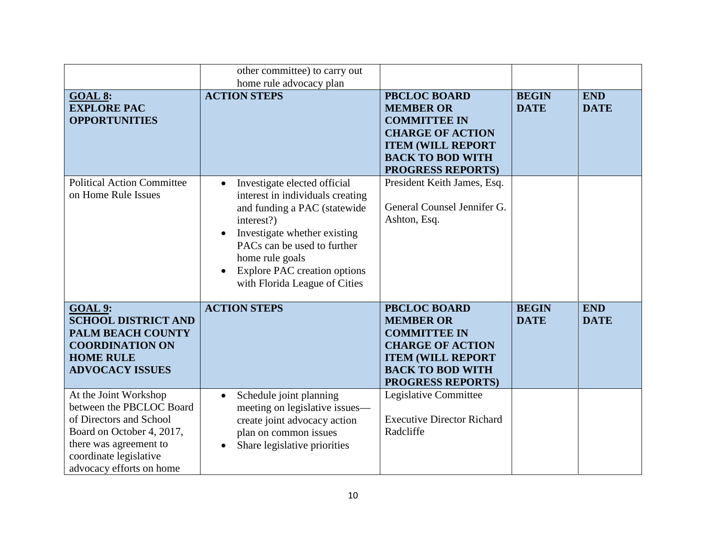|                                                                                                                                                                                           | other committee) to carry out<br>home rule advocacy plan                                                                                                                                                                                                                              |                                                                                                                                                                              |                             |                           |
|-------------------------------------------------------------------------------------------------------------------------------------------------------------------------------------------|---------------------------------------------------------------------------------------------------------------------------------------------------------------------------------------------------------------------------------------------------------------------------------------|------------------------------------------------------------------------------------------------------------------------------------------------------------------------------|-----------------------------|---------------------------|
| <b>GOAL 8:</b><br><b>EXPLORE PAC</b><br><b>OPPORTUNITIES</b>                                                                                                                              | <b>ACTION STEPS</b>                                                                                                                                                                                                                                                                   | <b>PBCLOC BOARD</b><br><b>MEMBER OR</b><br><b>COMMITTEE IN</b><br><b>CHARGE OF ACTION</b><br><b>ITEM (WILL REPORT</b><br><b>BACK TO BOD WITH</b><br><b>PROGRESS REPORTS)</b> | <b>BEGIN</b><br><b>DATE</b> | <b>END</b><br><b>DATE</b> |
| <b>Political Action Committee</b><br>on Home Rule Issues                                                                                                                                  | Investigate elected official<br>$\bullet$<br>interest in individuals creating<br>and funding a PAC (statewide<br>interest?)<br>Investigate whether existing<br>PACs can be used to further<br>home rule goals<br><b>Explore PAC creation options</b><br>with Florida League of Cities | President Keith James, Esq.<br>General Counsel Jennifer G.<br>Ashton, Esq.                                                                                                   |                             |                           |
| <b>GOAL 9:</b><br><b>SCHOOL DISTRICT AND</b><br><b>PALM BEACH COUNTY</b><br><b>COORDINATION ON</b><br><b>HOME RULE</b><br><b>ADVOCACY ISSUES</b>                                          | <b>ACTION STEPS</b>                                                                                                                                                                                                                                                                   | <b>PBCLOC BOARD</b><br><b>MEMBER OR</b><br><b>COMMITTEE IN</b><br><b>CHARGE OF ACTION</b><br><b>ITEM (WILL REPORT</b><br><b>BACK TO BOD WITH</b><br><b>PROGRESS REPORTS)</b> | <b>BEGIN</b><br><b>DATE</b> | <b>END</b><br><b>DATE</b> |
| At the Joint Workshop<br>between the PBCLOC Board<br>of Directors and School<br>Board on October 4, 2017,<br>there was agreement to<br>coordinate legislative<br>advocacy efforts on home | Schedule joint planning<br>$\bullet$<br>meeting on legislative issues—<br>create joint advocacy action<br>plan on common issues<br>Share legislative priorities                                                                                                                       | Legislative Committee<br><b>Executive Director Richard</b><br>Radcliffe                                                                                                      |                             |                           |